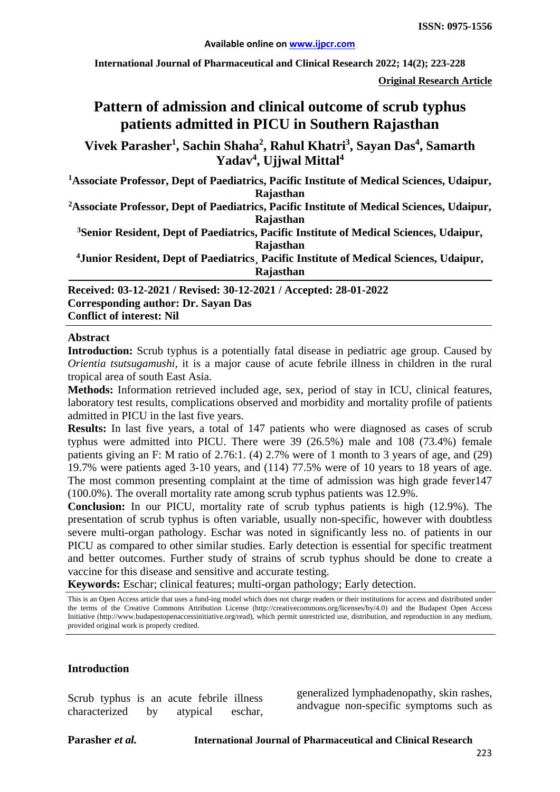**International Journal of Pharmaceutical and Clinical Research 2022; 14(2); 223-228**

**Original Research Article**

# **Pattern of admission and clinical outcome of scrub typhus patients admitted in PICU in Southern Rajasthan**

**Vivek Parasher1 , Sachin Shaha<sup>2</sup> , Rahul Khatri<sup>3</sup> , Sayan Das4 , Samarth Yadav4 , Ujjwal Mittal4**

<sup>1</sup> Associate Professor, Dept of Paediatrics, Pacific Institute of Medical Sciences, Udaipur,

**Rajasthan**

**2 Associate Professor, Dept of Paediatrics, Pacific Institute of Medical Sciences, Udaipur, Rajasthan**

**3 Senior Resident, Dept of Paediatrics, Pacific Institute of Medical Sciences, Udaipur, Rajasthan** 

**4Junior Resident, Dept of Paediatrics¸ Pacific Institute of Medical Sciences, Udaipur, Rajasthan**

**Received: 03-12-2021 / Revised: 30-12-2021 / Accepted: 28-01-2022 Corresponding author: Dr. Sayan Das Conflict of interest: Nil**

#### **Abstract**

**Introduction:** Scrub typhus is a potentially fatal disease in pediatric age group. Caused by *Orientia tsutsugamushi*, it is a major cause of acute febrile illness in children in the rural tropical area of south East Asia.

**Methods:** Information retrieved included age, sex, period of stay in ICU, clinical features, laboratory test results, complications observed and morbidity and mortality profile of patients admitted in PICU in the last five years.

**Results:** In last five years, a total of 147 patients who were diagnosed as cases of scrub typhus were admitted into PICU. There were 39 (26.5%) male and 108 (73.4%) female patients giving an F: M ratio of 2.76:1. (4) 2.7% were of 1 month to 3 years of age, and (29) 19.7% were patients aged 3-10 years, and (114) 77.5% were of 10 years to 18 years of age. The most common presenting complaint at the time of admission was high grade fever147 (100.0%). The overall mortality rate among scrub typhus patients was 12.9%.

**Conclusion:** In our PICU, mortality rate of scrub typhus patients is high (12.9%). The presentation of scrub typhus is often variable, usually non-specific, however with doubtless severe multi-organ pathology. Eschar was noted in significantly less no. of patients in our PICU as compared to other similar studies. Early detection is essential for specific treatment and better outcomes. Further study of strains of scrub typhus should be done to create a vaccine for this disease and sensitive and accurate testing.

**Keywords:** Eschar; clinical features; multi-organ pathology; Early detection.

This is an Open Access article that uses a fund-ing model which does not charge readers or their institutions for access and distributed under the terms of the Creative Commons Attribution License (http://creativecommons.org/licenses/by/4.0) and the Budapest Open Access Initiative (http://www.budapestopenaccessinitiative.org/read), which permit unrestricted use, distribution, and reproduction in any medium, provided original work is properly credited.

#### **Introduction**

Scrub typhus is an acute febrile illness characterized by atypical eschar, generalized lymphadenopathy, skin rashes, andvague non-specific symptoms such as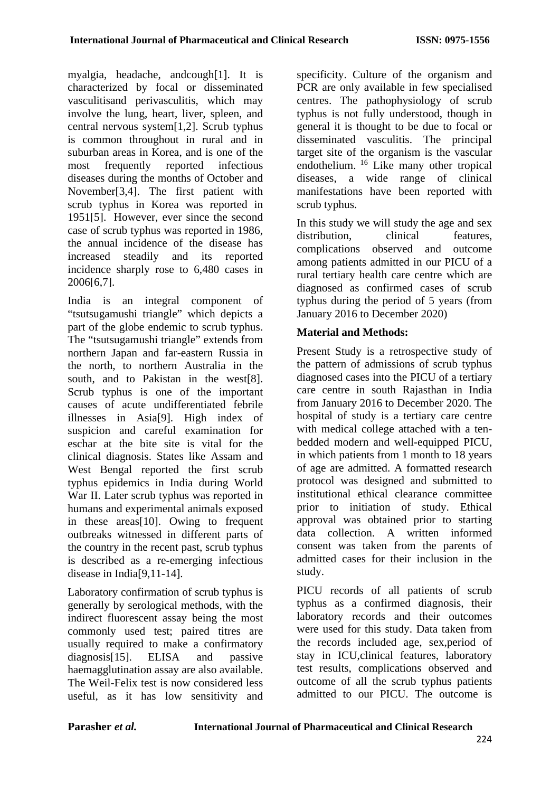myalgia, headache, andcough[1]. It is characterized by focal or disseminated vasculitisand perivasculitis, which may involve the lung, heart, liver, spleen, and central nervous system[1,2]. Scrub typhus is common throughout in rural and in suburban areas in Korea, and is one of the most frequently reported infectious diseases during the months of October and November[3,4]. The first patient with scrub typhus in Korea was reported in 1951[5]. However, ever since the second case of scrub typhus was reported in 1986, the annual incidence of the disease has increased steadily and its reported incidence sharply rose to 6,480 cases in 2006[6,7].

India is an integral component of "tsutsugamushi triangle" which depicts a part of the globe endemic to scrub typhus. The "tsutsugamushi triangle" extends from northern Japan and far-eastern Russia in the north, to northern Australia in the south, and to Pakistan in the west[8]. Scrub typhus is one of the important causes of acute undifferentiated febrile illnesses in Asia[9]. High index of suspicion and careful examination for eschar at the bite site is vital for the clinical diagnosis. States like Assam and West Bengal reported the first scrub typhus epidemics in India during World War II. Later scrub typhus was reported in humans and experimental animals exposed in these areas[10]. Owing to frequent outbreaks witnessed in different parts of the country in the recent past, scrub typhus is described as a re-emerging infectious disease in India[9,11-14].

Laboratory confirmation of scrub typhus is generally by serological methods, with the indirect fluorescent assay being the most commonly used test; paired titres are usually required to make a confirmatory diagnosis[15]. ELISA and passive haemagglutination assay are also available. The Weil-Felix test is now considered less useful, as it has low sensitivity and specificity. Culture of the organism and PCR are only available in few specialised centres. The pathophysiology of scrub typhus is not fully understood, though in general it is thought to be due to focal or disseminated vasculitis. The principal target site of the organism is the vascular endothelium. <sup>16</sup> Like many other tropical diseases, a wide range of clinical manifestations have been reported with scrub typhus.

In this study we will study the age and sex distribution, clinical features, complications observed and outcome among patients admitted in our PICU of a rural tertiary health care centre which are diagnosed as confirmed cases of scrub typhus during the period of 5 years (from January 2016 to December 2020)

# **Material and Methods:**

Present Study is a retrospective study of the pattern of admissions of scrub typhus diagnosed cases into the PICU of a tertiary care centre in south Rajasthan in India from January 2016 to December 2020. The hospital of study is a tertiary care centre with medical college attached with a tenbedded modern and well-equipped PICU, in which patients from 1 month to 18 years of age are admitted. A formatted research protocol was designed and submitted to institutional ethical clearance committee prior to initiation of study. Ethical approval was obtained prior to starting data collection. A written informed consent was taken from the parents of admitted cases for their inclusion in the study.

PICU records of all patients of scrub typhus as a confirmed diagnosis, their laboratory records and their outcomes were used for this study. Data taken from the records included age, sex,period of stay in ICU,clinical features, laboratory test results, complications observed and outcome of all the scrub typhus patients admitted to our PICU. The outcome is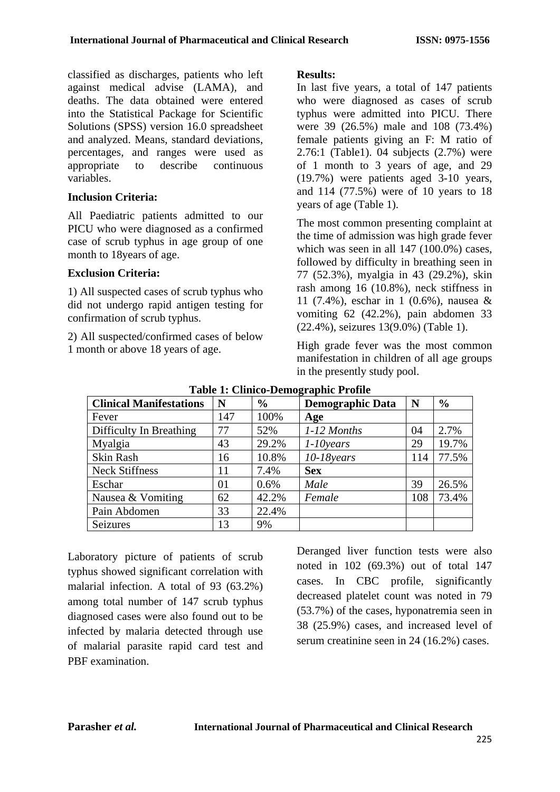classified as discharges, patients who left against medical advise (LAMA), and deaths. The data obtained were entered into the Statistical Package for Scientific Solutions (SPSS) version 16.0 spreadsheet and analyzed. Means, standard deviations, percentages, and ranges were used as appropriate to describe continuous variables.

### **Inclusion Criteria:**

All Paediatric patients admitted to our PICU who were diagnosed as a confirmed case of scrub typhus in age group of one month to 18years of age.

### **Exclusion Criteria:**

1) All suspected cases of scrub typhus who did not undergo rapid antigen testing for confirmation of scrub typhus.

2) All suspected/confirmed cases of below 1 month or above 18 years of age.

### **Results:**

In last five years, a total of 147 patients who were diagnosed as cases of scrub typhus were admitted into PICU. There were 39 (26.5%) male and 108 (73.4%) female patients giving an F: M ratio of 2.76:1 (Table1). 04 subjects (2.7%) were of 1 month to 3 years of age, and 29 (19.7%) were patients aged 3-10 years, and 114 (77.5%) were of 10 years to 18 years of age (Table 1).

The most common presenting complaint at the time of admission was high grade fever which was seen in all 147 (100.0%) cases. followed by difficulty in breathing seen in 77 (52.3%), myalgia in 43 (29.2%), skin rash among 16 (10.8%), neck stiffness in 11 (7.4%), eschar in 1 (0.6%), nausea & vomiting 62 (42.2%), pain abdomen 33 (22.4%), seizures 13(9.0%) (Table 1).

High grade fever was the most common manifestation in children of all age groups in the presently study pool.

| <b>Clinical Manifestations</b> | Ñ   | $\frac{6}{6}$ | <b>Demographic Data</b> | N   | $\frac{6}{6}$ |
|--------------------------------|-----|---------------|-------------------------|-----|---------------|
| Fever                          | 147 | 100%          | Age                     |     |               |
| Difficulty In Breathing        | 77  | 52%           | 1-12 Months             | 04  | 2.7%          |
| Myalgia                        | 43  | 29.2%         | $1-10 years$            | 29  | 19.7%         |
| <b>Skin Rash</b>               | 16  | 10.8%         | $10-18$ years           | 114 | 77.5%         |
| <b>Neck Stiffness</b>          | 11  | 7.4%          | <b>Sex</b>              |     |               |
| Eschar                         | 01  | $0.6\%$       | Male                    | 39  | 26.5%         |
| Nausea & Vomiting              | 62  | 42.2%         | Female                  | 108 | 73.4%         |
| Pain Abdomen                   | 33  | 22.4%         |                         |     |               |
| Seizures                       | 13  | 9%            |                         |     |               |

**Table 1: Clinico-Demographic Profile**

Laboratory picture of patients of scrub typhus showed significant correlation with malarial infection. A total of 93 (63.2%) among total number of 147 scrub typhus diagnosed cases were also found out to be infected by malaria detected through use of malarial parasite rapid card test and PBF examination.

Deranged liver function tests were also noted in 102 (69.3%) out of total 147 cases. In CBC profile, significantly decreased platelet count was noted in 79 (53.7%) of the cases, hyponatremia seen in 38 (25.9%) cases, and increased level of serum creatinine seen in 24 (16.2%) cases.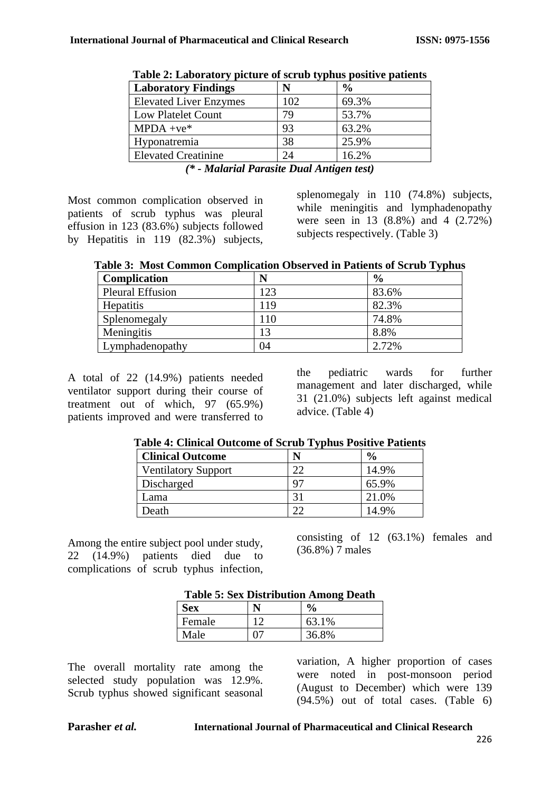| <b>Laboratory Findings</b>    |     | $\frac{0}{0}$ |  |  |
|-------------------------------|-----|---------------|--|--|
| <b>Elevated Liver Enzymes</b> | 102 | 69.3%         |  |  |
| Low Platelet Count            | 79  | 53.7%         |  |  |
| $MPDA + ve*$                  | 93  | 63.2%         |  |  |
| Hyponatremia                  | 38  | 25.9%         |  |  |
| <b>Elevated Creatinine</b>    | 24  | 16.2%         |  |  |
|                               |     |               |  |  |

| Table 2: Laboratory picture of scrub typhus positive patients |
|---------------------------------------------------------------|
|---------------------------------------------------------------|

*(\* - Malarial Parasite Dual Antigen test)*

Most common complication observed in patients of scrub typhus was pleural effusion in 123 (83.6%) subjects followed by Hepatitis in 119 (82.3%) subjects, splenomegaly in 110 (74.8%) subjects, while meningitis and lymphadenopathy were seen in 13 (8.8%) and 4 (2.72%) subjects respectively. (Table 3)

**Table 3: Most Common Complication Observed in Patients of Scrub Typhus**

| <b>Complication</b>     | N   | $\frac{0}{0}$ |
|-------------------------|-----|---------------|
| <b>Pleural Effusion</b> | 123 | 83.6%         |
| <b>Hepatitis</b>        | 119 | 82.3%         |
| Splenomegaly            | 110 | 74.8%         |
| Meningitis              | 13  | 8.8%          |
| Lymphadenopathy         | 04  | 2.72%         |

A total of 22 (14.9%) patients needed ventilator support during their course of treatment out of which, 97 (65.9%) patients improved and were transferred to the pediatric wards for further management and later discharged, while 31 (21.0%) subjects left against medical advice. (Table 4)

| Table 4. Chincal Outcome of Scrub Typhus I ositive I attents<br><b>Clinical Outcome</b> |                | $\frac{0}{0}$ |
|-----------------------------------------------------------------------------------------|----------------|---------------|
| <b>Ventilatory Support</b>                                                              | つつ             | 14.9%         |
| Discharged                                                                              | Q <sub>7</sub> | 65.9%         |
| Lama                                                                                    |                | 21.0%         |
| Death                                                                                   |                | 14.9%         |

**Table 4: Clinical Outcome of Scrub Typhus Positive Patients**

Among the entire subject pool under study, 22 (14.9%) patients died due to complications of scrub typhus infection,

consisting of 12 (63.1%) females and (36.8%) 7 males

| <b>Table 5: Sex Distribution Among Death</b> |    |               |  |
|----------------------------------------------|----|---------------|--|
| <b>Sex</b>                                   | N  | $\frac{6}{9}$ |  |
| Female                                       | 12 | 63.1%         |  |
| Male                                         | 07 | 36.8%         |  |

The overall mortality rate among the selected study population was 12.9%. Scrub typhus showed significant seasonal

variation, A higher proportion of cases were noted in post-monsoon period (August to December) which were 139 (94.5%) out of total cases. (Table 6)

**Parasher** *et al.* **International Journal of Pharmaceutical and Clinical Research**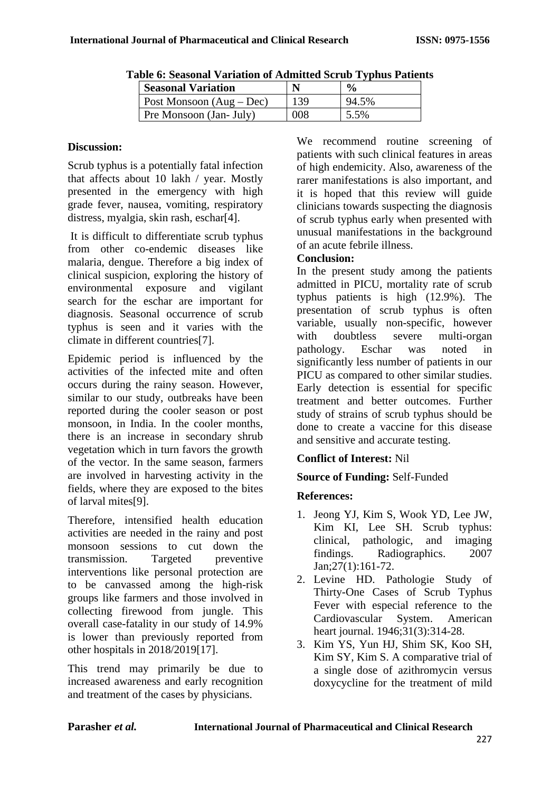| <b>Seasonal Variation</b>  |     | $\frac{6}{6}$ |
|----------------------------|-----|---------------|
| Post Monsoon $(Aug - Dec)$ | 139 | 94.5%         |
| Pre Monsoon (Jan- July)    | 008 | 5.5%          |

|  |  | Table 6: Seasonal Variation of Admitted Scrub Typhus Patients |  |
|--|--|---------------------------------------------------------------|--|
|  |  |                                                               |  |

## **Discussion:**

Scrub typhus is a potentially fatal infection that affects about 10 lakh / year. Mostly presented in the emergency with high grade fever, nausea, vomiting, respiratory distress, myalgia, skin rash, eschar[4].

It is difficult to differentiate scrub typhus from other co-endemic diseases like malaria, dengue. Therefore a big index of clinical suspicion, exploring the history of environmental exposure and vigilant search for the eschar are important for diagnosis. Seasonal occurrence of scrub typhus is seen and it varies with the climate in different countries[7].

Epidemic period is influenced by the activities of the infected mite and often occurs during the rainy season. However, similar to our study, outbreaks have been reported during the cooler season or post monsoon, in India. In the cooler months, there is an increase in secondary shrub vegetation which in turn favors the growth of the vector. In the same season, farmers are involved in harvesting activity in the fields, where they are exposed to the bites of larval mites[9].

Therefore, intensified health education activities are needed in the rainy and post monsoon sessions to cut down the transmission. Targeted preventive interventions like personal protection are to be canvassed among the high-risk groups like farmers and those involved in collecting firewood from jungle. This overall case-fatality in our study of 14.9% is lower than previously reported from other hospitals in 2018/2019[17].

This trend may primarily be due to increased awareness and early recognition and treatment of the cases by physicians.

We recommend routine screening of patients with such clinical features in areas of high endemicity. Also, awareness of the rarer manifestations is also important, and it is hoped that this review will guide clinicians towards suspecting the diagnosis of scrub typhus early when presented with unusual manifestations in the background of an acute febrile illness.

# **Conclusion:**

In the present study among the patients admitted in PICU, mortality rate of scrub typhus patients is high (12.9%). The presentation of scrub typhus is often variable, usually non-specific, however with doubtless severe multi-organ pathology. Eschar was noted in significantly less number of patients in our PICU as compared to other similar studies. Early detection is essential for specific treatment and better outcomes. Further study of strains of scrub typhus should be done to create a vaccine for this disease and sensitive and accurate testing.

# **Conflict of Interest:** Nil

# **Source of Funding:** Self-Funded

# **References:**

- 1. Jeong YJ, Kim S, Wook YD, Lee JW, Kim KI, Lee SH. Scrub typhus: clinical, pathologic, and imaging findings. Radiographics. 2007 Jan;27(1):161-72.
- 2. Levine HD. Pathologie Study of Thirty-One Cases of Scrub Typhus Fever with especial reference to the Cardiovascular System. American heart journal. 1946;31(3):314-28.
- 3. Kim YS, Yun HJ, Shim SK, Koo SH, Kim SY, Kim S. A comparative trial of a single dose of azithromycin versus doxycycline for the treatment of mild